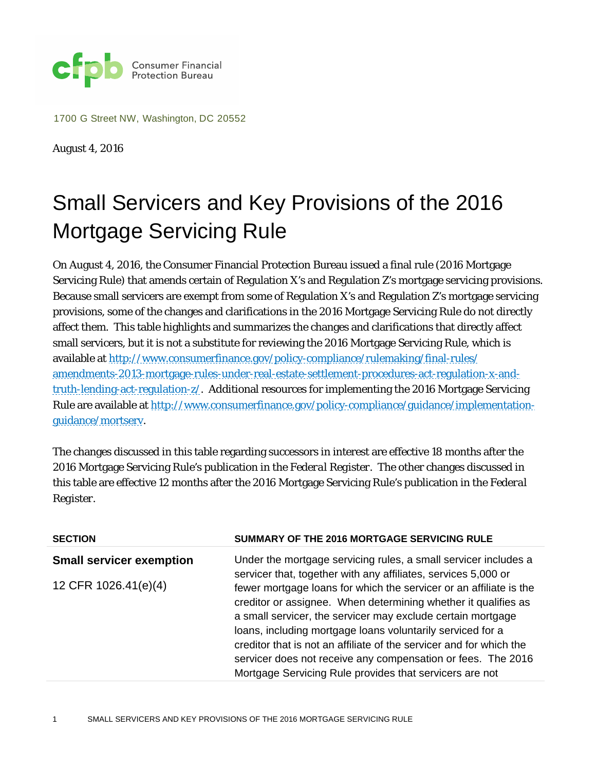

1700 G Street NW, Washington, DC 20552

August 4, 2016

## Small Servicers and Key Provisions of the 2016 Mortgage Servicing Rule

On August 4, 2016, the Consumer Financial Protection Bureau issued a final rule (2016 Mortgage Servicing Rule) that amends certain of Regulation X's and Regulation Z's mortgage servicing provisions. Because small servicers are exempt from some of Regulation X's and Regulation Z's mortgage servicing provisions, some of the changes and clarifications in the 2016 Mortgage Servicing Rule do not directly affect them. This table highlights and summarizes the changes and clarifications that directly affect small servicers, but it is not a substitute for reviewing the 2016 Mortgage Servicing Rule, which is available a[t http://www.consumerfinance.gov/policy-compliance/rulemaking/final-rules/](http://www.consumerfinance.gov/policy-compliance/rulemaking/final-rules/amendments-2013-mortgage-rules-under-real-estate-settlement-procedures-act-regulation-x-and-truth-lending-act-regulation-z/) [amendments-2013-mortgage-rules-under-real-estate-settlement-procedures-act-regulation-x-and](http://www.consumerfinance.gov/policy-compliance/rulemaking/final-rules/amendments-2013-mortgage-rules-under-real-estate-settlement-procedures-act-regulation-x-and-truth-lending-act-regulation-z/)[truth-lending-act-regulation-z/.](http://www.consumerfinance.gov/policy-compliance/rulemaking/final-rules/amendments-2013-mortgage-rules-under-real-estate-settlement-procedures-act-regulation-x-and-truth-lending-act-regulation-z/) Additional resources for implementing the 2016 Mortgage Servicing Rule are available at [http://www.consumerfinance.gov/policy-compliance/guidance/implementation](http://www.consumerfinance.gov/policy-compliance/guidance/implementation-guidance/mortserv)[guidance/mortserv.](http://www.consumerfinance.gov/policy-compliance/guidance/implementation-guidance/mortserv)

The changes discussed in this table regarding successors in interest are effective 18 months after the 2016 Mortgage Servicing Rule's publication in the *Federal Register*. The other changes discussed in this table are effective 12 months after the 2016 Mortgage Servicing Rule's publication in the *Federal Register*.

| <b>SECTION</b>                  | SUMMARY OF THE 2016 MORTGAGE SERVICING RULE                                                                                                                                                                                                                                                                                                                                                                                                                         |
|---------------------------------|---------------------------------------------------------------------------------------------------------------------------------------------------------------------------------------------------------------------------------------------------------------------------------------------------------------------------------------------------------------------------------------------------------------------------------------------------------------------|
| <b>Small servicer exemption</b> | Under the mortgage servicing rules, a small servicer includes a<br>servicer that, together with any affiliates, services 5,000 or                                                                                                                                                                                                                                                                                                                                   |
| 12 CFR 1026.41(e)(4)            | fewer mortgage loans for which the servicer or an affiliate is the<br>creditor or assignee. When determining whether it qualifies as<br>a small servicer, the servicer may exclude certain mortgage<br>loans, including mortgage loans voluntarily serviced for a<br>creditor that is not an affiliate of the servicer and for which the<br>servicer does not receive any compensation or fees. The 2016<br>Mortgage Servicing Rule provides that servicers are not |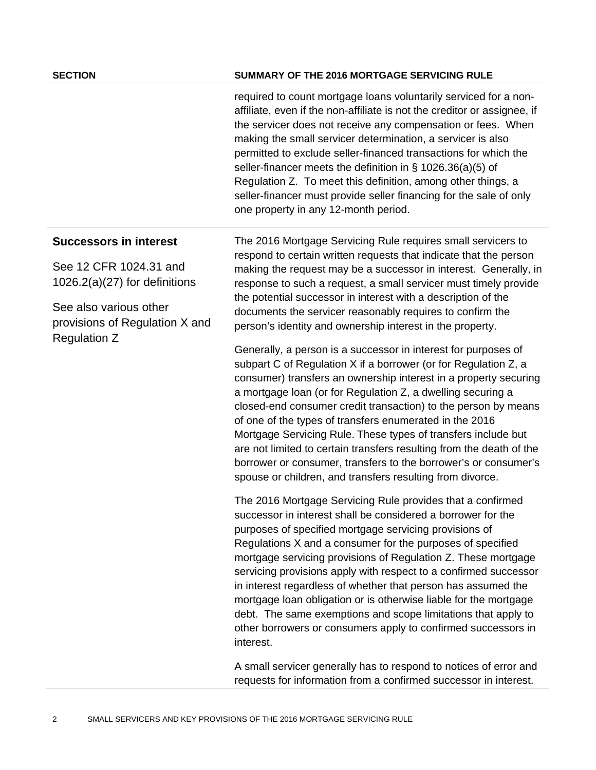## **SECTION SUMMARY OF THE 2016 MORTGAGE SERVICING RULE**

required to count mortgage loans voluntarily serviced for a nonaffiliate, even if the non-affiliate is not the creditor or assignee, if the servicer does not receive any compensation or fees. When making the small servicer determination, a servicer is also permitted to exclude seller-financed transactions for which the seller-financer meets the definition in § 1026.36(a)(5) of Regulation Z. To meet this definition, among other things, a seller-financer must provide seller financing for the sale of only one property in any 12-month period.

## **Successors in interest**

See 12 CFR 1024.31 and 1026.2(a)(27) for definitions

See also various other provisions of Regulation X and Regulation Z

The 2016 Mortgage Servicing Rule requires small servicers to respond to certain written requests that indicate that the person making the request may be a successor in interest. Generally, in response to such a request, a small servicer must timely provide the potential successor in interest with a description of the documents the servicer reasonably requires to confirm the person's identity and ownership interest in the property.

Generally, a person is a successor in interest for purposes of subpart C of Regulation X if a borrower (or for Regulation Z, a consumer) transfers an ownership interest in a property securing a mortgage loan (or for Regulation Z, a dwelling securing a closed-end consumer credit transaction) to the person by means of one of the types of transfers enumerated in the 2016 Mortgage Servicing Rule. These types of transfers include but are not limited to certain transfers resulting from the death of the borrower or consumer, transfers to the borrower's or consumer's spouse or children, and transfers resulting from divorce.

The 2016 Mortgage Servicing Rule provides that a confirmed successor in interest shall be considered a borrower for the purposes of specified mortgage servicing provisions of Regulations X and a consumer for the purposes of specified mortgage servicing provisions of Regulation Z. These mortgage servicing provisions apply with respect to a confirmed successor in interest regardless of whether that person has assumed the mortgage loan obligation or is otherwise liable for the mortgage debt. The same exemptions and scope limitations that apply to other borrowers or consumers apply to confirmed successors in interest.

A small servicer generally has to respond to notices of error and requests for information from a confirmed successor in interest.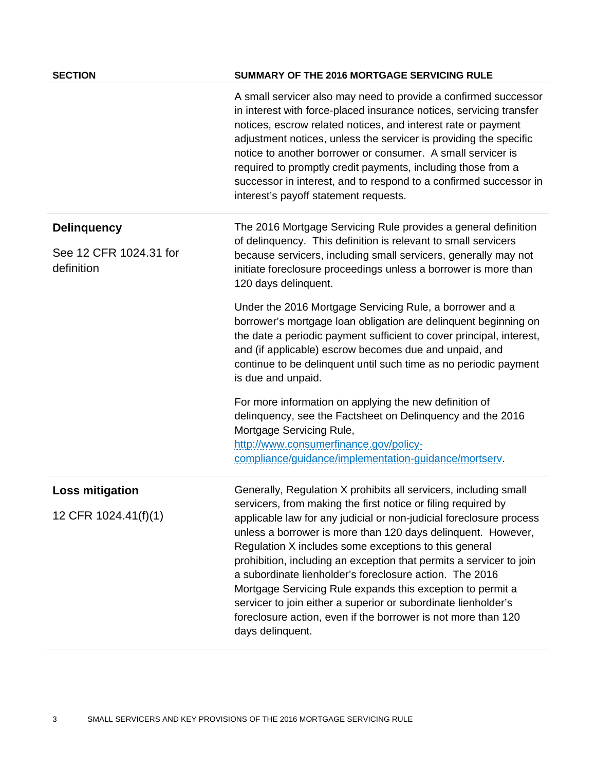| <b>SECTION</b>                       | SUMMARY OF THE 2016 MORTGAGE SERVICING RULE                                                                                                                                                                                                                                                                                                                                                                                                                                                                                                                                                                          |
|--------------------------------------|----------------------------------------------------------------------------------------------------------------------------------------------------------------------------------------------------------------------------------------------------------------------------------------------------------------------------------------------------------------------------------------------------------------------------------------------------------------------------------------------------------------------------------------------------------------------------------------------------------------------|
|                                      | A small servicer also may need to provide a confirmed successor<br>in interest with force-placed insurance notices, servicing transfer<br>notices, escrow related notices, and interest rate or payment<br>adjustment notices, unless the servicer is providing the specific<br>notice to another borrower or consumer. A small servicer is<br>required to promptly credit payments, including those from a<br>successor in interest, and to respond to a confirmed successor in<br>interest's payoff statement requests.                                                                                            |
| <b>Delinquency</b>                   | The 2016 Mortgage Servicing Rule provides a general definition<br>of delinquency. This definition is relevant to small servicers                                                                                                                                                                                                                                                                                                                                                                                                                                                                                     |
| See 12 CFR 1024.31 for<br>definition | because servicers, including small servicers, generally may not<br>initiate foreclosure proceedings unless a borrower is more than<br>120 days delinquent.                                                                                                                                                                                                                                                                                                                                                                                                                                                           |
|                                      | Under the 2016 Mortgage Servicing Rule, a borrower and a<br>borrower's mortgage loan obligation are delinquent beginning on<br>the date a periodic payment sufficient to cover principal, interest,<br>and (if applicable) escrow becomes due and unpaid, and<br>continue to be delinquent until such time as no periodic payment<br>is due and unpaid.                                                                                                                                                                                                                                                              |
|                                      | For more information on applying the new definition of<br>delinquency, see the Factsheet on Delinquency and the 2016<br>Mortgage Servicing Rule,<br>http://www.consumerfinance.gov/policy-<br>compliance/guidance/implementation-guidance/mortsery.                                                                                                                                                                                                                                                                                                                                                                  |
| <b>Loss mitigation</b>               | Generally, Regulation X prohibits all servicers, including small                                                                                                                                                                                                                                                                                                                                                                                                                                                                                                                                                     |
| 12 CFR 1024.41(f)(1)                 | servicers, from making the first notice or filing required by<br>applicable law for any judicial or non-judicial foreclosure process<br>unless a borrower is more than 120 days delinquent. However,<br>Regulation X includes some exceptions to this general<br>prohibition, including an exception that permits a servicer to join<br>a subordinate lienholder's foreclosure action. The 2016<br>Mortgage Servicing Rule expands this exception to permit a<br>servicer to join either a superior or subordinate lienholder's<br>foreclosure action, even if the borrower is not more than 120<br>days delinquent. |